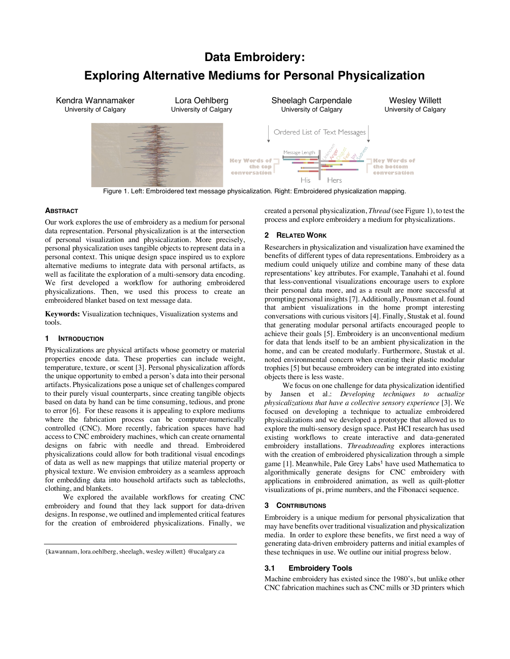# **Data Embroidery:**

# **Exploring Alternative Mediums for Personal Physicalization**

Kendra Wannamaker Lora Oehlberg Sheelagh Carpendale Wesley Willett University of Calgary University of Calgary University of Calgary University of Calgary Ordered List of Text Messages **Key Words of** Key Words of the top the bottom conversation conversation His Hers

Figure 1. Left: Embroidered text message physicalization. Right: Embroidered physicalization mapping.

# **ABSTRACT**

Our work explores the use of embroidery as a medium for personal data representation. Personal physicalization is at the intersection of personal visualization and physicalization. More precisely, personal physicalization uses tangible objects to represent data in a personal context. This unique design space inspired us to explore alternative mediums to integrate data with personal artifacts, as well as facilitate the exploration of a multi-sensory data encoding. We first developed a workflow for authoring embroidered physicalizations. Then, we used this process to create an embroidered blanket based on text message data.

**Keywords:** Visualization techniques, Visualization systems and tools.

# **1 INTRODUCTION**

Physicalizations are physical artifacts whose geometry or material properties encode data. These properties can include weight, temperature, texture, or scent [3]. Personal physicalization affords the unique opportunity to embed a person's data into their personal artifacts. Physicalizations pose a unique set of challenges compared to their purely visual counterparts, since creating tangible objects based on data by hand can be time consuming, tedious, and prone to error [6]. For these reasons it is appealing to explore mediums where the fabrication process can be computer-numerically controlled (CNC). More recently, fabrication spaces have had access to CNC embroidery machines, which can create ornamental designs on fabric with needle and thread. Embroidered physicalizations could allow for both traditional visual encodings of data as well as new mappings that utilize material property or physical texture. We envision embroidery as a seamless approach for embedding data into household artifacts such as tablecloths, clothing, and blankets.

We explored the available workflows for creating CNC embroidery and found that they lack support for data-driven designs. In response, we outlined and implemented critical features for the creation of embroidered physicalizations. Finally, we

created a personal physicalization, *Thread* (see Figure 1), to test the process and explore embroidery a medium for physicalizations.

# **2 RELATED WORK**

Researchers in physicalization and visualization have examined the benefits of different types of data representations. Embroidery as a medium could uniquely utilize and combine many of these data representations' key attributes. For example, Tanahahi et al. found that less-conventional visualizations encourage users to explore their personal data more, and as a result are more successful at prompting personal insights[7]. Additionally, Pousman et al. found that ambient visualizations in the home prompt interesting conversations with curious visitors [4]. Finally, Stustak et al. found that generating modular personal artifacts encouraged people to achieve their goals [5]. Embroidery is an unconventional medium for data that lends itself to be an ambient physicalization in the home, and can be created modularly. Furthermore, Stustak et al. noted environmental concern when creating their plastic modular trophies [5] but because embroidery can be integrated into existing objects there is less waste.

We focus on one challenge for data physicalization identified by Jansen et al.: *Developing techniques to actualize physicalizations that have a collective sensory experience* [3]. We focused on developing a technique to actualize embroidered physicalizations and we developed a prototype that allowed us to explore the multi-sensory design space. Past HCI research has used existing workflows to create interactive and data-generated embroidery installations. *Threadsteading* explores interactions with the creation of embroidered physicalization through a simple game [1]. Meanwhile, Pale Grey Labs<sup>1</sup> have used Mathematica to algorithmically generate designs for CNC embroidery with applications in embroidered animation, as well as quilt-plotter visualizations of pi, prime numbers, and the Fibonacci sequence.

# **3 CONTRIBUTIONS**

Embroidery is a unique medium for personal physicalization that may have benefits over traditional visualization and physicalization media. In order to explore these benefits, we first need a way of generating data-driven embroidery patterns and initial examples of these techniques in use. We outline our initial progress below.

## **3.1 Embroidery Tools**

Machine embroidery has existed since the 1980's, but unlike other CNC fabrication machines such as CNC mills or 3D printers which

<sup>{</sup>kawannam, lora.oehlberg, sheelagh, wesley.willett} @ucalgary.ca